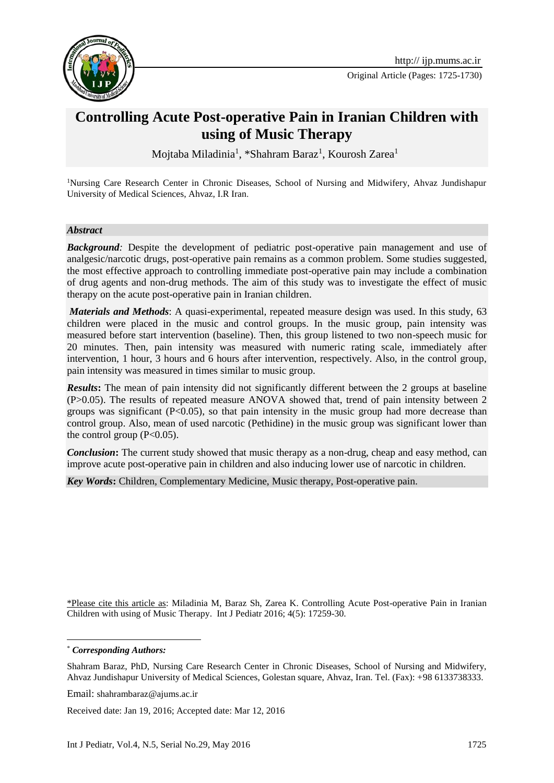

Original Article (Pages: 1725-1730)

# **Controlling Acute Post-operative Pain in Iranian Children with using of Music Therapy**

Mojtaba Miladinia<sup>1</sup>, \*Shahram Baraz<sup>1</sup>, Kourosh Zarea<sup>1</sup>

<sup>1</sup>Nursing Care Research Center in Chronic Diseases, School of Nursing and Midwifery, Ahvaz Jundishapur University of Medical Sciences, Ahvaz, I.R Iran.

#### *Abstract*

**Background**: Despite the development of pediatric post-operative pain management and use of analgesic/narcotic drugs, post-operative pain remains as a common problem. Some studies suggested, the most effective approach to controlling immediate post-operative pain may include a combination of drug agents and non-drug methods. The aim of this study was to investigate the effect of music therapy on the acute post-operative pain in Iranian children.

*Materials and Methods*: A quasi-experimental, repeated measure design was used. In this study, 63 children were placed in the music and control groups. In the music group, pain intensity was measured before start intervention (baseline). Then, this group listened to two non-speech music for 20 minutes. Then, pain intensity was measured with numeric rating scale, immediately after intervention, 1 hour, 3 hours and 6 hours after intervention, respectively. Also, in the control group, pain intensity was measured in times similar to music group.

*Results*: The mean of pain intensity did not significantly different between the 2 groups at baseline (P>0.05). The results of repeated measure ANOVA showed that, trend of pain intensity between 2 groups was significant  $(P<0.05)$ , so that pain intensity in the music group had more decrease than control group. Also, mean of used narcotic (Pethidine) in the music group was significant lower than the control group  $(P<0.05)$ .

**Conclusion:** The current study showed that music therapy as a non-drug, cheap and easy method, can improve acute post-operative pain in children and also inducing lower use of narcotic in children.

*Key Words***:** Children, Complementary Medicine, Music therapy, Post-operative pain.

\*Please cite this article as: Miladinia M, Baraz Sh, Zarea K. Controlling Acute Post-operative Pain in Iranian Children with using of Music Therapy. Int J Pediatr 2016; 4(5): 17259-30.

\* *Corresponding Authors:*

**.** 

Shahram Baraz, PhD, Nursing Care Research Center in Chronic Diseases, School of Nursing and Midwifery, Ahvaz Jundishapur University of Medical Sciences, Golestan square, Ahvaz, Iran. Tel. (Fax): +98 6133738333.

Email: shahrambaraz@ajums.ac.ir

Received date: Jan 19, 2016; Accepted date: Mar 12, 2016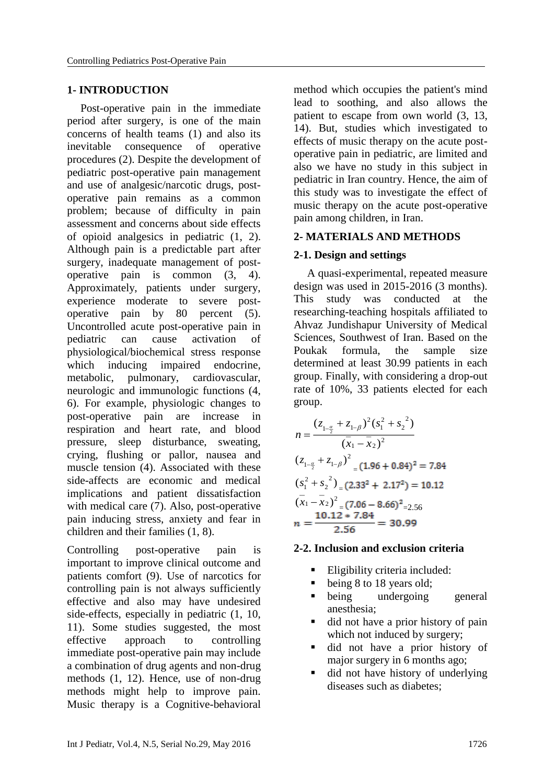# **1- INTRODUCTION**

Post-operative pain in the immediate period after surgery, is one of the main concerns of health teams [\(1\)](#page-4-0) and also its inevitable consequence of operative procedures [\(2\)](#page-4-1). Despite the development of pediatric post-operative pain management and use of analgesic/narcotic drugs, postoperative pain remains as a common problem; because of difficulty in pain assessment and concerns about side effects of opioid analgesics in pediatric [\(1,](#page-4-0) [2\)](#page-4-1). Although pain is a predictable part after surgery, inadequate management of postoperative pain is common [\(3,](#page-4-2) [4\)](#page-5-0). Approximately, patients under surgery, experience moderate to severe postoperative pain by 80 percent [\(5\)](#page-5-1). Uncontrolled acute post-operative pain in pediatric can cause activation of physiological/biochemical stress response which inducing impaired endocrine, metabolic, pulmonary, cardiovascular, neurologic and immunologic functions [\(4,](#page-5-0) [6\)](#page-5-2). For example, physiologic changes to post-operative pain are increase in respiration and heart rate, and blood pressure, sleep disturbance, sweating, crying, flushing or pallor, nausea and muscle tension [\(4\)](#page-5-0). Associated with these side-affects are economic and medical implications and patient dissatisfaction with medical care [\(7\)](#page-5-3). Also, post-operative pain inducing stress, anxiety and fear in children and their families [\(1,](#page-4-0) [8\)](#page-5-4).

Controlling post-operative pain is important to improve clinical outcome and patients comfort [\(9\)](#page-5-5). Use of narcotics for controlling pain is not always sufficiently effective and also may have undesired side-effects, especially in pediatric [\(1,](#page-4-0) [10,](#page-5-6) [11\)](#page-5-7). Some studies suggested, the most effective approach to controlling immediate post-operative pain may include a combination of drug agents and non-drug methods [\(1,](#page-4-0) [12\)](#page-5-8). Hence, use of non-drug methods might help to improve pain. Music therapy is a Cognitive-behavioral

method which occupies the patient's mind lead to soothing, and also allows the patient to escape from own world [\(3,](#page-4-2) [13,](#page-5-9) [14\)](#page-5-10). But, studies which investigated to effects of music therapy on the acute postoperative pain in pediatric, are limited and also we have no study in this subject in pediatric in Iran country. Hence, the aim of this study was to investigate the effect of music therapy on the acute post-operative pain among children, in Iran.

# **2- MATERIALS AND METHODS**

# **2-1. Design and settings**

A quasi-experimental, repeated measure design was used in 2015-2016 (3 months). This study was conducted at the researching-teaching hospitals affiliated to Ahvaz Jundishapur University of Medical Sciences, Southwest of Iran. Based on the Poukak formula, the sample size determined at least 30.99 patients in each group. Finally, with considering a drop-out rate of 10%, 33 patients elected for each group.

$$
n = \frac{(z_{1-\frac{\alpha}{2}} + z_{1-\beta})^2 (s_1^2 + s_2^2)}{(\overline{x}_1 - \overline{x}_2)^2}
$$
  
\n
$$
(z_{1-\frac{\alpha}{2}} + z_{1-\beta})^2 = (1.96 + 0.84)^2 = 7.84
$$
  
\n
$$
(s_1^2 + s_2^2) = (2.33^2 + 2.17^2) = 10.12
$$
  
\n
$$
(\overline{x}_1 - \overline{x}_2)^2 = (7.06 - 8.66)^2 = 2.56
$$
  
\n
$$
n = \frac{10.12 \times 7.84}{2.56} = 30.99
$$

#### **2-2. Inclusion and exclusion criteria**

- Eligibility criteria included:
- being 8 to 18 years old;
- being undergoing general anesthesia;
- did not have a prior history of pain which not induced by surgery;
- did not have a prior history of major surgery in 6 months ago;
- did not have history of underlying diseases such as diabetes;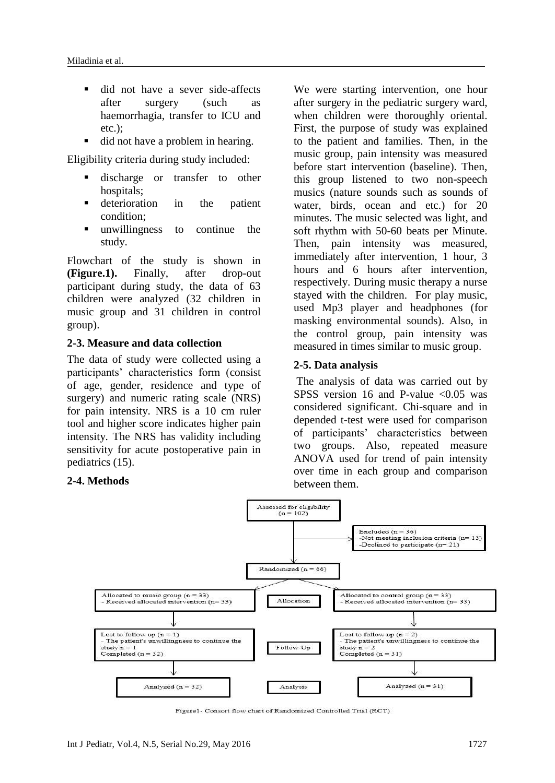- did not have a sever side-affects after surgery (such as haemorrhagia, transfer to ICU and etc.);
- did not have a problem in hearing.

Eligibility criteria during study included:

- discharge or transfer to other hospitals;
- deterioration in the patient condition;
- unwillingness to continue the study.

Flowchart of the study is shown in **(Figure.1).** Finally, after drop-out participant during study, the data of 63 children were analyzed (32 children in music group and 31 children in control group).

# **2-3. Measure and data collection**

The data of study were collected using a participants' characteristics form (consist of age, gender, residence and type of surgery) and numeric rating scale (NRS) for pain intensity. NRS is a 10 cm ruler tool and higher score indicates higher pain intensity. The NRS has validity including sensitivity for acute postoperative pain in pediatrics [\(15\)](#page-5-11).

# **2-4. Methods**

We were starting intervention, one hour after surgery in the pediatric surgery ward, when children were thoroughly oriental. First, the purpose of study was explained to the patient and families. Then, in the music group, pain intensity was measured before start intervention (baseline). Then, this group listened to two non-speech musics (nature sounds such as sounds of water, birds, ocean and etc.) for 20 minutes. The music selected was light, and soft rhythm with 50-60 beats per Minute. Then, pain intensity was measured, immediately after intervention, 1 hour, 3 hours and 6 hours after intervention, respectively. During music therapy a nurse stayed with the children. For play music, used Mp3 player and headphones (for masking environmental sounds). Also, in the control group, pain intensity was measured in times similar to music group.

# **2-5. Data analysis**

The analysis of data was carried out by SPSS version 16 and P-value  $\leq 0.05$  was considered significant. Chi-square and in depended t-test were used for comparison of participants' characteristics between two groups. Also, repeated measure ANOVA used for trend of pain intensity over time in each group and comparison between them.



Figure1- Consort flow chart of Randomized Controlled Trial (RCT)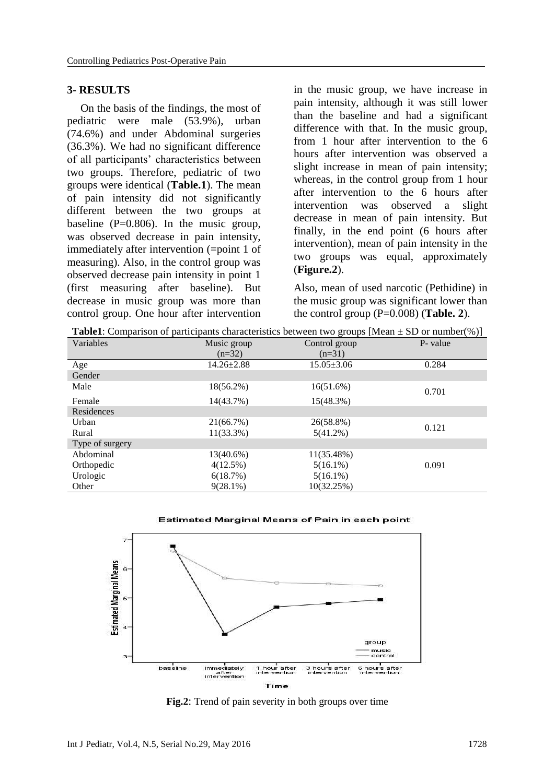# **3- RESULTS**

On the basis of the findings, the most of pediatric were male (53.9%), urban (74.6%) and under Abdominal surgeries (36.3%). We had no significant difference of all participants' characteristics between two groups. Therefore, pediatric of two groups were identical (**Table.1**). The mean of pain intensity did not significantly different between the two groups at baseline  $(P=0.806)$ . In the music group, was observed decrease in pain intensity, immediately after intervention (=point 1 of measuring). Also, in the control group was observed decrease pain intensity in point 1 (first measuring after baseline). But decrease in music group was more than control group. One hour after intervention in the music group, we have increase in pain intensity, although it was still lower than the baseline and had a significant difference with that. In the music group, from 1 hour after intervention to the 6 hours after intervention was observed a slight increase in mean of pain intensity; whereas, in the control group from 1 hour after intervention to the 6 hours after intervention was observed a slight decrease in mean of pain intensity. But finally, in the end point (6 hours after intervention), mean of pain intensity in the two groups was equal, approximately (**Figure.2**).

Also, mean of used narcotic (Pethidine) in the music group was significant lower than the control group (P=0.008) (**Table. 2**).

| <b>Table1</b> : Comparison of participants characteristics between two groups [Mean $\pm$ SD or number(%)] |
|------------------------------------------------------------------------------------------------------------|
|------------------------------------------------------------------------------------------------------------|

| Variables       | Music group      | Control group    | P- value |
|-----------------|------------------|------------------|----------|
|                 | $(n=32)$         | $(n=31)$         |          |
| Age             | $14.26 \pm 2.88$ | $15.05 \pm 3.06$ | 0.284    |
| Gender          |                  |                  |          |
| Male            | $18(56.2\%)$     | 16(51.6%)        | 0.701    |
| Female          | 14(43.7%)        | 15(48.3%)        |          |
| Residences      |                  |                  |          |
| Urban           | 21(66.7%)        | 26(58.8%)        | 0.121    |
| Rural           | $11(33.3\%)$     | $5(41.2\%)$      |          |
| Type of surgery |                  |                  |          |
| Abdominal       | $13(40.6\%)$     | 11(35.48%)       |          |
| Orthopedic      | $4(12.5\%)$      | $5(16.1\%)$      | 0.091    |
| Urologic        | 6(18.7%)         | $5(16.1\%)$      |          |
| Other           | $9(28.1\%)$      | 10(32.25%)       |          |

#### Estimated Marginal Means of Pain in each point



**Fig.2**: Trend of pain severity in both groups over time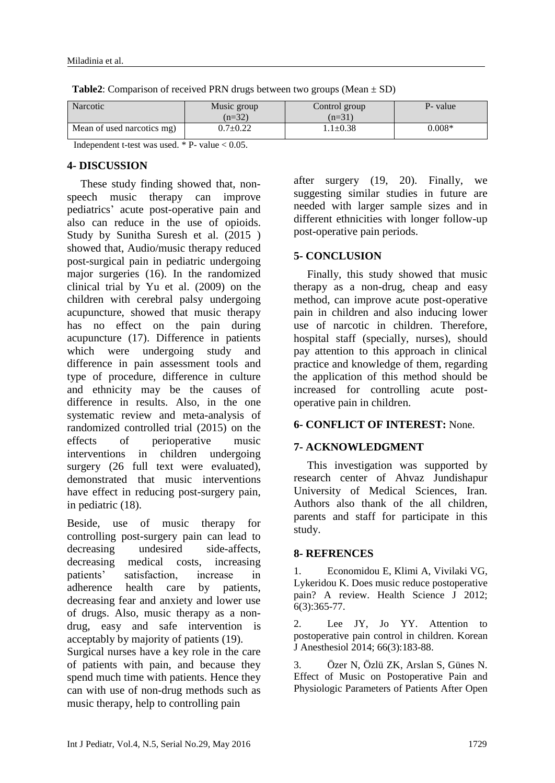| Narcotic                   | Music group<br>$(n=32)$ | Control group<br>$(n=31)$ | P- value |
|----------------------------|-------------------------|---------------------------|----------|
| Mean of used narcotics mg) | $0.7 \pm 0.22$          | l.1 $\pm$ 0.38 $\,$       | $0.008*$ |

**Table2**: Comparison of received PRN drugs between two groups (Mean  $\pm$  SD)

Independent t-test was used.  $*$  P- value  $< 0.05$ .

## **4- DISCUSSION**

These study finding showed that, nonspeech music therapy can improve pediatrics' acute post-operative pain and also can reduce in the use of opioids. Study by Sunitha Suresh et al. (2015 ) showed that, Audio/music therapy reduced post-surgical pain in pediatric undergoing major surgeries [\(16\)](#page-5-12). In the randomized clinical trial by Yu et al. (2009) on the children with cerebral palsy undergoing acupuncture, showed that music therapy has no effect on the pain during acupuncture [\(17\)](#page-5-13). Difference in patients which were undergoing study and difference in pain assessment tools and type of procedure, difference in culture and ethnicity may be the causes of difference in results. Also, in the one systematic review and meta-analysis of randomized controlled trial (2015) on the effects of perioperative music interventions in children undergoing surgery (26 full text were evaluated), demonstrated that music interventions have effect in reducing post-surgery pain, in pediatric [\(18\)](#page-5-14).

Beside, use of music therapy for controlling post-surgery pain can lead to decreasing undesired side-affects, decreasing medical costs, increasing patients' satisfaction, increase in adherence health care by patients, decreasing fear and anxiety and lower use of drugs. Also, music therapy as a nondrug, easy and safe intervention is acceptably by majority of patients [\(19\)](#page-5-15).

Surgical nurses have a key role in the care of patients with pain, and because they spend much time with patients. Hence they can with use of non-drug methods such as music therapy, help to controlling pain

after surgery [\(19,](#page-5-15) [20\)](#page-5-16). Finally, we suggesting similar studies in future are needed with larger sample sizes and in different ethnicities with longer follow-up post-operative pain periods.

# **5- CONCLUSION**

Finally, this study showed that music therapy as a non-drug, cheap and easy method, can improve acute post-operative pain in children and also inducing lower use of narcotic in children. Therefore, hospital staff (specially, nurses), should pay attention to this approach in clinical practice and knowledge of them, regarding the application of this method should be increased for controlling acute postoperative pain in children.

# **6- CONFLICT OF INTEREST:** None.

# **7- ACKNOWLEDGMENT**

This investigation was supported by research center of Ahvaz Jundishapur University of Medical Sciences, Iran. Authors also thank of the all children, parents and staff for participate in this study.

#### **8- REFRENCES**

<span id="page-4-0"></span>1. Economidou E, Klimi A, Vivilaki VG, Lykeridou K. Does music reduce postoperative pain? A review. Health Science J 2012; 6(3):365-77.

<span id="page-4-1"></span>2. Lee JY, Jo YY. Attention to postoperative pain control in children. Korean J Anesthesiol 2014; 66(3):183-88.

<span id="page-4-2"></span>3. Özer N, Özlü ZK, Arslan S, Günes N. Effect of Music on Postoperative Pain and Physiologic Parameters of Patients After Open